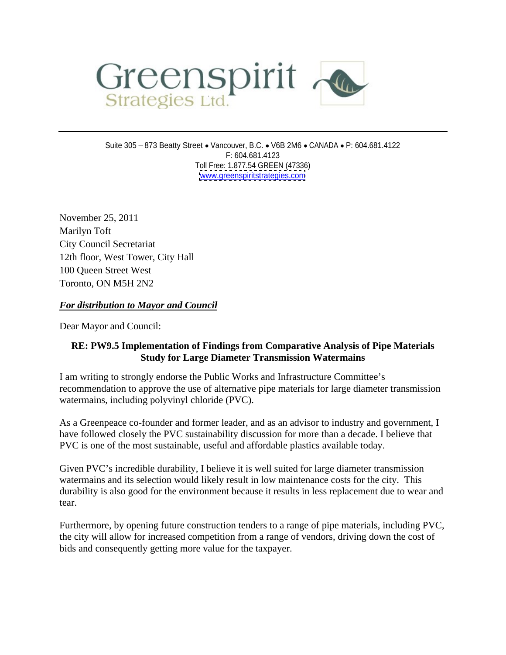

Suite 305 - 873 Beatty Street • Vancouver, B.C. • V6B 2M6 • CANADA • P: 604.681.4122 F: 604.681.4123 Toll Free: 1.877.54 GREEN (47336) [www.greenspiritstrategies.com](http://www.greenspiritstrategies.com)

November 25, 2011 Marilyn Toft City Council Secretariat 12th floor, West Tower, City Hall 100 Queen Street West Toronto, ON M5H 2N2

## *For distribution to Mayor and Council*

Dear Mayor and Council:

## **RE: PW9.5 Implementation of Findings from Comparative Analysis of Pipe Materials Study for Large Diameter Transmission Watermains**

I am writing to strongly endorse the Public Works and Infrastructure Committee's recommendation to approve the use of alternative pipe materials for large diameter transmission watermains, including polyvinyl chloride (PVC).

As a Greenpeace co-founder and former leader, and as an advisor to industry and government, I have followed closely the PVC sustainability discussion for more than a decade. I believe that PVC is one of the most sustainable, useful and affordable plastics available today.

Given PVC's incredible durability, I believe it is well suited for large diameter transmission watermains and its selection would likely result in low maintenance costs for the city. This durability is also good for the environment because it results in less replacement due to wear and tear.

Furthermore, by opening future construction tenders to a range of pipe materials, including PVC, the city will allow for increased competition from a range of vendors, driving down the cost of bids and consequently getting more value for the taxpayer.